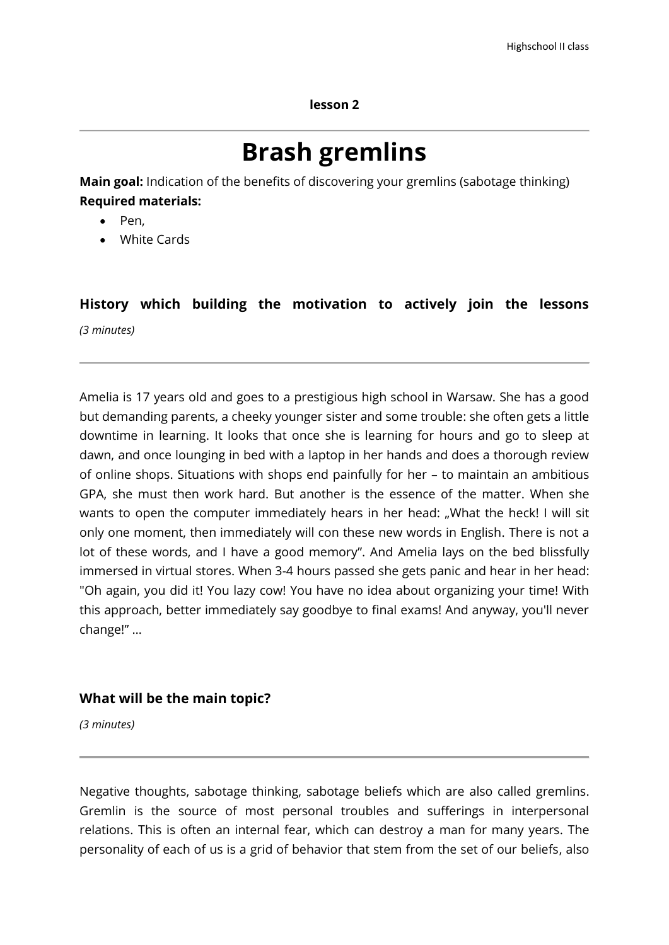#### **lesson 2**

# **Brash gremlins**

**Main goal:** Indication of the benefits of discovering your gremlins (sabotage thinking) **Required materials:**

- Pen.
- White Cards

## **History which building the motivation to actively join the lessons**  *(3 minutes)*

Amelia is 17 years old and goes to a prestigious high school in Warsaw. She has a good but demanding parents, a cheeky younger sister and some trouble: she often gets a little downtime in learning. It looks that once she is learning for hours and go to sleep at dawn, and once lounging in bed with a laptop in her hands and does a thorough review of online shops. Situations with shops end painfully for her – to maintain an ambitious GPA, she must then work hard. But another is the essence of the matter. When she wants to open the computer immediately hears in her head: ..What the heck! I will sit only one moment, then immediately will con these new words in English. There is not a lot of these words, and I have a good memory". And Amelia lays on the bed blissfully immersed in virtual stores. When 3-4 hours passed she gets panic and hear in her head: "Oh again, you did it! You lazy cow! You have no idea about organizing your time! With this approach, better immediately say goodbye to final exams! And anyway, you'll never change!" …

### **What will be the main topic?**

*(3 minutes)*

Negative thoughts, sabotage thinking, sabotage beliefs which are also called gremlins. Gremlin is the source of most personal troubles and sufferings in interpersonal relations. This is often an internal fear, which can destroy a man for many years. The personality of each of us is a grid of behavior that stem from the set of our beliefs, also